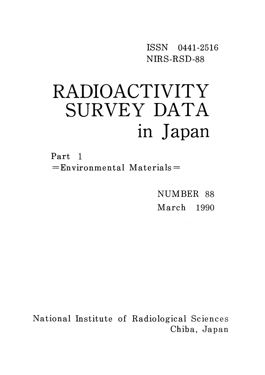ISSN 0441-2516 NIRS-RSD-88

# RADIOACTIVITY SURVEY DATA in Japan

Part l  $=$ Environmental Materials $=$ 

> NUMBER 88 March 1990

National Institute of Radiological Sciences Chiba, Japan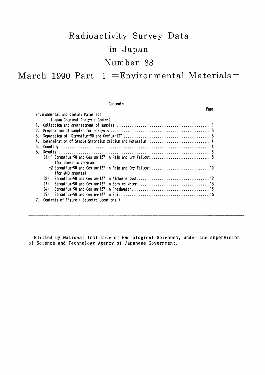# Radioactivity Survey Data in Japan Number 88 March 1990 Part  $1 =$ Environmental Materials  $=$

Contents Page Environmental and Dietary Materials (Japan Chemical Analysis Center) (for domestic program) (for WHO program) 7. Contents of Figure (Selected Locations)

Editted by National Institute of Radiological Sciences, under the supervision of Science and Technology Agency of Japanese Government.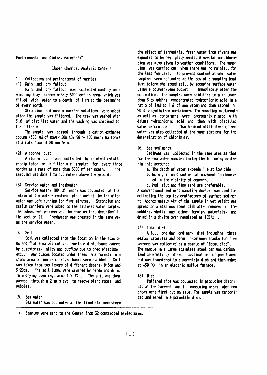Environmental and Dietary Materials"

#### (Japan Chemical Analysis Center)

Collection and pretreatment of samples 1.

(1) Rain and dry fallout

Rain and dry fallout was collected monthly on a sampling tray, approximately 5000 cm<sup>2</sup> in area, which was filled with water to a depth of 1 cm at the beginning of every month.

Strontium and cesium carrier solutions were added after the sample was filtered. The tray was washed with 5  $\ell$  of distilled vater and the vashing vas combined to the filtrate.

The sample was passed through a cation exchange column (500 ml of Dowex 50W  $\times$ 8, 50  $\sim$  100 mesh, Na form) at a rate flow of 80 ml/min.

#### (2) Airborne dust

Airborne dust was collected by an electrostatic precipitator or a filter air sampler for every three months at a rate of more than 3000 m<sup>3</sup> per month. **The** sampling was done 1 to 1.5 meters above the ground.

#### (3) Service water and freshwater

Service water,  $100$   $\ell$  each, was collected at the intake of the water-treatment plant and at the tap after vater vas left running for five minutes. Strontium and cesium carriers were added to the filtered water sample. The subsequent process was the same as that described in the section (1). Freshwater was treated in the same way as the service vater.

## $(4)$  Soil

Soil was collected from the location in the spacious and flat area without past surface disturbance caused by duststorms, inflow and outflow due to precipitation, etc.. Any places located under trees in a forest, in a stony area or inside of river banks were avoided. Soil was taken from two layers of different depths, 0-5cm and 5-20cm. The soil lumps were crushed by hands and dried in a drying oven regulated 105  $\mathbf{C}$ . The soil was then passed through a 2 mm sieve to remove plant roots and pebbles.

(5) Sea vater Sea water was collected at the fixed stations where the effect of terrestrial fresh water from rivers was expected to be negligibly small. A special consideration was also given to weather conditions. The sampling was carried out when there was no rainfall for the last fey days. To prevent contamination, vater samples were collected at the bow of a sampling boat just before she stood still by scooping surface vater using a polyethylene bucket. Immediately after the collection, the samples were acidified to a pH lower than 3 by adding concentrated hydrochloric acid in a ratio of  $1 \text{ mQ}$  to  $1 \text{ Q}$  of sea vater, and then stored in 20  $\Omega$  polyethylene containers. The sampling equipments as well as containers were thoroughly rinsed with dilute hydrochloric acid and then with distilled vater before use. Two hundred milliliters of sea vater was also collected at the same stations for the determination of chlorinity.

#### (6) Sea sediments

Sediment was collected in the same area as that for the sea vater sample, taking the following criteria into account:

- a. The depth of water exceeds 1 m at low tide.
- b. No significant sedimental movement is observed in the vicinity of concern.
- c. Mud, silt and fine sand are preferable.

A conventional sediment sampling device was used for collecting the top few centimeters of surface sediment. Approximately 4kg of the sample in wet weight was spread on a stenless steel dish after removed of the pebbles, shells and other foreign materials, and dried in a drying oven regulated at  $105C$ .

#### (7) Total diet

A full one day ordinary diet including three meals, water, tea and other in-between snacks for five persons was collected as a sample of "total diet". The sample in a large stainless steel pan was carbonized carefully by direct application of gas flame, and was transfered to a porcelain dish and then ashed at 450 °C in an electric muffle furnace.

#### $(8)$  Rice

Polished rice was collected in producing districts at the harvest and in consuming areas when new crops were first put on sale. The sample was carbonized and ashed in a porcelain dish.

\* Samples were sent to the Center from 32 contracted prefectures.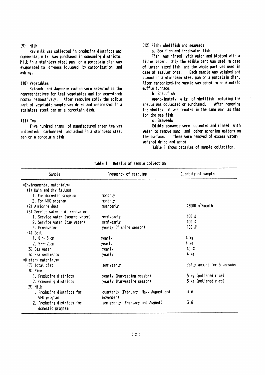#### $(9)$  Milk

Raw milk was collected in producing districts and commercial milk was purchased in consuming districts. Milk in a stainless steel pan or a porcelain dish was evaporated to dryness followed by carbonization and ashing.

#### (10) Vegetables

Spinach and Japanese radish were selected as the representatives for leaf vegetables and for non-starch roots, respectively. After removing soil, the edible part of vegetable sample was dried and carbonized in a stainless steel pan or a porcelain dish.

#### $(11)$  Tea

Five hundred grams of manufactured green tea was collected, carbonized and ashed in a stainless steel pan or a porcelain dish.

#### (12) Fish, shellfish and seaveeds

a. Sea fish and freshwater fish

Fish was rinsed with water and blotted with a filter paper. Only the edible part was used in case of larger sized fish, and the whole part was used in case of smaller ones. Each sample was weighed and placed in a stainless steel pan or a porcelain dish. After carbonized, the sample was ashed in an electric muffle furnace.

#### b. Shellfish

Approximately 4 kg of shellfish including the shells was collected or purchased. After removing the shells, it was treated in the same way as that for the sea fish.

#### c. Seaveeds

Edible seaveeds were collected and rinsed with water to remove sand and other adhering matters on These vere removed of excess vater, the surface. veighed dried and ashed.

Table 1 shows detailes of sample collection.

| Sample                                         | Frequency of sampling                             | Quantity of sample            |
|------------------------------------------------|---------------------------------------------------|-------------------------------|
| =Environmental materials=                      |                                                   |                               |
| (1) Rain and dry fallout                       |                                                   |                               |
| 1. For domestic program                        | monthly                                           |                               |
| 2. For WHO program                             | monthly                                           |                               |
| (2) Airborne dust                              | quarterly                                         | $>3000$ m <sup>3</sup> /month |
| (3) Service vater and freshwater               |                                                   |                               |
| 1. Service water (source water)                | semiyearly                                        | 100 $\ell$                    |
| 2. Service water (tap water)                   | semiyearly                                        | 100 $\ell$                    |
| 3. Freshvater                                  | yearly (fishing season)                           | 100 $\ell$                    |
| $(4)$ Soil                                     |                                                   |                               |
| 1. $0 \sim 5$ cm                               | yearly                                            | 4 kg                          |
| 2. $5 - 20$ cm                                 | yearly                                            | 4 kg                          |
| (5) Sea water                                  | yearly                                            | $40\ell$                      |
| (6) Sea sediments                              | yearly                                            | 4 kg                          |
| =Dietary materials=                            |                                                   |                               |
| (7) Total diet                                 | semiyearly                                        | daily amount for 5 persons    |
| $(8)$ Rice                                     |                                                   |                               |
| 1. Producing districts                         | yearly (harvesting season)                        | 5 kg (polished rice)          |
| 2. Consuming districts                         | yearly (harvesting season)                        | 5 kg (polished rice)          |
| $(9)$ Milk                                     |                                                   |                               |
| 1. Producing districts for<br>WHO program      | quarterly (February, May, August and<br>November) | 3 Q                           |
| 2. Producing districts for<br>domestic program | semiyearly (February and August).                 | 3 l                           |

Table 1 Details of sample collection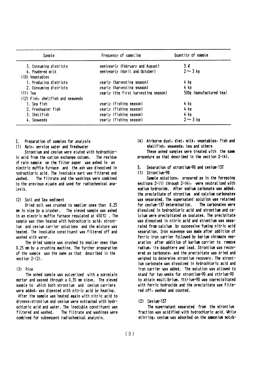| Sample                            | Frequency of sampling                | Quantity of sample      |
|-----------------------------------|--------------------------------------|-------------------------|
| 3. Consuming districts            | semiyearly (February and August)     | 3Q                      |
| 4. Powdered milk                  | semiyearly (April and October)       | $2 \sim 3$ kg           |
| (10) Vegetables                   |                                      |                         |
| 1. Producing districts            | yearly (harvesting season)           | 4 kg                    |
| 2. Consuming districts            | yearly (harvesting season)           | 4 kg                    |
| $(11)$ Tea                        | yearly (the first harvesting season) | 500g (manufactured tea) |
| (12) Fish, shellfish and seaveeds |                                      |                         |
| 1. Sea fish                       | yearly (fishing season)              | 4 kg                    |
| 2. Freshvater fish                | yearly (fishing season)              | 4 kg                    |
| 3. Shellfish                      | yearly (fishing season)              | $4$ kg                  |
| 4. Seaveeds                       | yearly (fishing season)              | $2 \sim 3$ kg           |

- $\mathcal{P}$ Preparation of samples for analysis
- (1) Rain, service vater and freshvater

Strontium and cesium were eluted with hydrochloric acid from the cation exchange column. The residue of rain sample on the filter paper was ashed in an electric muffle furnace and the ash was dissolved in hydrochloric acid. The insoluble part was filtered and The filtrate and the washings were combined vashed. to the previous eluate and used for radiochemical analysis.

### (2) Soil and Sea sediment

Dried soil was crushed to smaller ones than 0.25 mm in size by a crusher. The sieved sample was ashed in an electric muffle furnace regulated at  $450 \, \text{C}$ . The sample was then heated with hydrochloric acid, strontjum and cesium carrier solutions and the mixture was heated. The insoluble constituent was filtered off and vashed with vater.

The dried sample was crushed to smaller ones than 0.25 mm by a crushing machine. The further preparation of the sample was the same as that described in the section  $2-(2)$ .

#### $(3)$  Rice

The ashed sample was pulverized with a porcelain mortar and passed through a 0.35 mm sieve. The sieved sample to which both strontium and cesium carriers were added, was digested with nitric acid by heating. After the sample was heated again with nitric acid to dryness, strontium and cesium were extracted with hydrochloric acid and water. The insoluble constituent was The filtrate and washings were filtered and washed. combined for subsequent radiochemical analysis.

(4) Airborne dust, diet, milk, vegetables, fish and shellfish, seaveeds, tea and others

These ashed samples were treated with the same procedure as that described in the section  $2-(4)$ .

- Separation of strontium-90 and cesium-137 3.
- (1) Strontium-90

Sample solutions, prepared as in the foregoing sections 2-(1) through 2-(4), were neutralized with sodium hydroxide. After sodium carbonate was added, the precipitate of strontium and calcium carbonates was separated. The supernatant solution was retained for cesium-137 determination. The carbonates vere dissolved in hydrochloric acid and strontium and ca-Icium were precipitated as oxalates. The precipitate was dissolved in nitric acid and strontium was separated from calcium by successive fuming nitric acid separation. Iron scavenge was made after addition of ferric iron carrier followed by barium chromate separation after addition of barium carrier to remove radium, its daughters and lead. Strontium was recovered as carbonate, and the precipitate was dried and veighed to determine strontium recovery. The strontium carbonate was dissolved in hydrochloric acid and iron carrier was added. The solution was allowed to stand for two weeks for strontium-90 and yttrium-90 to attain equilibrium. Yttrium-90 was coprecipitated with ferric hydroxide and the precipitate was filtered off, washed and counted.

 $(2)$  Cesium-137

The supernatant separated from the strontium fraction was acidified with hydrochloric acid. While stirring, cesium was adsorbed on the ammonium molyb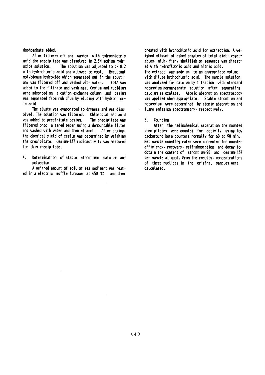dophosphate added.

After filtered off and washed with hydrochlotric acid the precipitate was dissolved in 2.5N sodium hydroxide solution. The solution was adjusted to pH 8.2 with hydrochloric acid and allowed to cool. Resultant molybdenum hydroxide which separated out in the solution, was filtered off and washed with water. **EDTA vas** added to the filtrate and vashings. Cesium and rubidium were adsorbed on a cation exchange column and cesium was separated from rubidium by eluting with hydrochloric acid.

The eluate was evaporated to dryness and was dissolved. The solution was filtered. Chloroplatinic acid was added to precipitate cesium. The precipitate was filtered onto a tared paper using a demountable filter and washed with water and then ethanol. After drying, the chemical yield of cesium was determined by weighing the precipitate. Cesium-137 radioactivity was measured for this precipitate.

4. Determination of stable strontium, calcium and potassium

A weighed amount of soil or sea sediment was heated in a electric muffle furnace at 450 °C and then

treated with hydrochloric acid for extraction. A weighed aliquot of ashed samples of total diet, vegetables, milk, fish, shellfish or seaveeds vas digested with hydrofluoric acid and nitric acid. The extract was made up to an appropriate volume with dilute hydrochloric acid. The sample solution was analyzed for calcium by titration with standard potassium permanganate solution after separating calcium as oxalate. Atomic absorption spectroscopy was applied when appropriate. Stable strontium and potassium were determined by atomic absorption and flame emission spectrometry, respectively.

5. Count ing

After the radiochemical separation the mounted precipitates were counted for activity using low background beta counters normally for 60 to 90 min. Net sample counting rates were corrected for counter efficiency, recovery, self-absorption and decay to obtain the content of strontium-90 and cesium-137 per sample aliquot. From the results, concentrations of these nuclides in the original samples were calculated.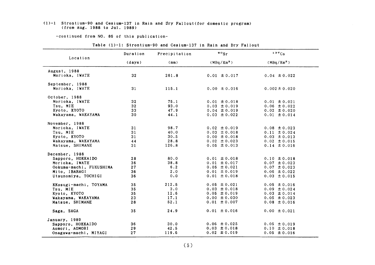#### (1)-1 Strontium-90 and Cesium-137 in Rain and Dry Fallout (for domestic program) (from Aug. 1988 to Jul. 1989)

#### -continued from NO. 86 of this publication-

|                         | Duration        | Precipitation | $\circ$ $\circ$ sr     | 137Cs                  |
|-------------------------|-----------------|---------------|------------------------|------------------------|
| Location                | (days)          | (mm)          | (MBq/Km <sup>2</sup> ) | (MBq/Km <sup>2</sup> ) |
| August, 1988            |                 |               |                        |                        |
| Morioka, IWATE          | 32              | 261.8         | $0.01 \pm 0.017$       | $0.04 \pm 0.022$       |
| September, 1988         |                 |               |                        |                        |
| Morioka, IWATE          | 31              | 115.1         | $0.00 \pm 0.016$       | $0.002 \pm 0.020$      |
| October, 1988           |                 |               |                        |                        |
| Morioka, IWATE          | 32              | 75.1          | $0.01 \pm 0.018$       | $0.01 \pm 0.021$       |
| Tsu. MIE                | 32 <sub>2</sub> | 93.0          | $0.03 \pm 0.019$       | $0.06 \pm 0.022$       |
| Kyoto, KYOTO            | 33              | 47.9          | $0.04 \pm 0.019$       | $0.02 \pm 0.020$       |
| Wakayama, WAKAYAMA      | 30              | 44.1          | $0.03 \pm 0.022$       | $0.01 \pm 0.014$       |
| November, 1988          |                 |               |                        |                        |
| Morioka, IWATE          | 31              | 98.7          | $0.02 \pm 0.019$       | $0.08 \pm 0.023$       |
| Tsu, MIE                | 31              | 40.0          | $0.03 \pm 0.018$       | $0.11 \pm 0.024$       |
| Kyoto, KYOTO            | 31              | 30.5          | $0.00 \pm 0.018$       | $0.03 \pm 0.013$       |
| Wakayama, WAKAYAMA      | 44              | 28.8          | $0.02 \pm 0.023$       | $0.02 \pm 0.015$       |
| Matsue, SHIMANE         | 31              | 126.8         | $0.05 \pm 0.013$       | $0.14 \pm 0.016$       |
| December, 1988          |                 |               |                        |                        |
| Sapporo, HOKKAIDO       | 28              | 80.0          | $0.01 \pm 0.018$       | $0.10 \pm 0.018$       |
| Morioka, IWATE          | 36              | 38.8          | $0.01 \pm 0.017$       | $0.07 \pm 0.023$       |
| Ookuma-machi, FUKUSHIMA | 27              | 6.2           | $0.05 \pm 0.021$       | $0.07 \pm 0.023$       |
| Mito, IBARAGI           | 36              | 2.0           | $0.01 \pm 0.019$       | $0.06 \pm 0.022$       |
| Utsunomiya, TOCHIGI     | 36              | 0.0           | $0.01 \pm 0.018$       | $0.03 \pm 0.015$       |
| KKosugi-machi, TOYAMA   | 35              | 212.5         | $0.05 \pm 0.021$       | $0.05 \pm 0.016$       |
| Tsu. MIE                | 35              | 3.0           | $0.03 \pm 0.018$       | $0.09 \pm 0.024$       |
| Kyoto, KYOTO            | 35              | 12.6          | $0.05 \pm 0.019$       | $0.03 \pm 0.014$       |
| Wakayama, WAKAYAMA      | 23              | 17.1          | $0.00 \pm 0.030$       | $0.05 \pm 0.023$       |
| Matsue, SHIMANE         | 28              | 52.1          | $0.01 \pm 0.007$       | $0.08 \pm 0.016$       |
| Saga, SAGA              | 35              | 24.9          | $0.01 \pm 0.016$       | $0.00 \pm 0.021$       |
| January, 1989           |                 |               |                        |                        |
| Sapporo, HOKKAIDO       | 36              | 30.0          | $0.06 \pm 0.025$       | $0.05 \pm 0.019$       |
| Aomori, AOMORI          | 29              | 42.5          | $0.03 \pm 0.018$       | $0.10 \pm 0.018$       |
| Onagawa-machi, MIYAGI   | 27              | 119.6         | $0.02 \pm 0.019$       | $0.05 \pm 0.016$       |

#### Table (1)-1: Strontium-90 and Cesium-137 in Rain and Dry Fallout

 $(5)$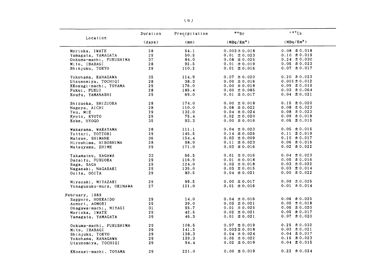|                          | Duration | Precipitation | $\circ s_r$            | 137C5                  |
|--------------------------|----------|---------------|------------------------|------------------------|
| Location                 | (days)   | (mm)          | (MBq/Km <sup>2</sup> ) | (MBq/Km <sup>2</sup> ) |
| Morioka, IWATE           | 28       | 54.1          | $0.003 \pm 0.018$      | $0.08 \pm 0.018$       |
| Yamagata, YAMAGATA       | 29       | 50.5          | $0.01 \pm 0.023$       | $0.10 \pm 0.019$       |
| Ookuma-machi, FUKUSHIMA  | 37       | 84.0          | $0.08 \pm 0.025$       | $0.24 \pm 0.030$       |
| Mito, IBARAGI            | 28       | 92.5          | $0.01 \pm 0.019$       | $0.05 \pm 0.023$       |
| Shinjuku, TOKYO          | 29       | 110.2         | $0.01 \pm 0.016$       | $0.07 \pm 0.017$       |
| Yokohama, KANAGAWA       | 35       | 114.9         | $0.07 \pm 0.020$       | $0.20 \pm 0.023$       |
| Utsunomiya, TOCHIGI      | 28       | 38.3          | $0.00 \pm 0.016$       | $0.001 \pm 0.012$      |
| KKosugi-machi, TOYAMA    | 29       | 176.0         | $0.00 \pm 0.018$       | $0.09 \pm 0.019$       |
| Fukui, FUKUI             | 28       | 185.4         | $0.00 \pm 0.085$       | $0.03 \pm 0.064$       |
| Koufu, YAMANASHI         | 29       | 69.0          | $0.01 \pm 0.017$       | $0.04 \pm 0.021$       |
| Shizuoka, SHIZUOKA       | 28       | 174.0         | $0.00 \pm 0.018$       | $0.15 \pm 0.020$       |
| Nagoya, AICHI            | 28       | 110.0         | $0.08 \pm 0.022$       | $0.08 \pm 0.023$       |
| Tsu, MIE                 | 29       | 132.0         | $0.04 \pm 0.024$       | $0.08 \pm 0.023$       |
| Kyoto, KYOTO             | 29       | 75.4          | $0.02 \pm 0.020$       | $0.09 \pm 0.018$       |
| Kobe, HYOGO              | 35       | 93.3          | $0.00 \pm 0.016$       | $0.05 \pm 0.015$       |
| Wakayama, WAKAYAMA       | 28       | 111.1         | $0.04 \pm 0.023$       | $0.05 \pm 0.016$       |
| Tottori, TOTTORI         | 29       | 145.5         | $0.14 \pm 0.026$       | $0.11 \pm 0.019$       |
| Matsue, SHIMANE          | 36       | 154.4         | $0.03 \pm 0.009$       | $0.10 \pm 0.017$       |
| Hiroshima, HIROSHIMA     | 28       | 98.0          | $0.11 \pm 0.023$       | $0.06 \pm 0.016$       |
| Matsuyama, EHIME         | 29       | 171.0         | $0.03 \pm 0.016$       | $0.02 \pm 0.022$       |
| Takamatsu, KAGAWA        | 33       | 66.5          | $0.01 \pm 0.016$       | $0.04 \pm 0.023$       |
| Dazaifu, FUKUOKA         | 29       | 116.9         | $0.01 \pm 0.018$       | $0.05 \pm 0.016$       |
| Saga, SAGA               | 29       | 124.0         | $0.03 \pm 0.018$       | $0.03 \pm 0.022$       |
| Nagasaki, NAGASAKI       | 29       | 135.0         | $0.03 \pm 0.015$       | $0.03 \pm 0.014$       |
| Ooita, OOITA             | 29       | 83.5          | $0.04 \pm 0.021$       | $0.00 \pm 0.022$       |
| Miyazaki, MIYAZAKI       | 29       | 99.5          | $0.00 \pm 0.017$       | $0.09 \pm 0.025$       |
| Yonagusuku-mura, OKINAWA | 27       | 121.0         | $0.01 \pm 0.016$       | $0.01 \pm 0.014$       |
| February, 1989           |          |               |                        |                        |
| Sapporo, HOKKAIDO        | 29       | 14.0          | $0.04 \pm 0.016$       | $0.06 \pm 0.025$       |
| Aomori, AOMORI           | 29       | 39.0          | $0.03 \pm 0.021$       | $0.05 \pm 0.018$       |
| Onagawa-machi, MIYAGI    | 31       | 95.7          | $0.01 \pm 0.025$       | $0.06 \pm 0.020$       |
| Morioka, IWATE           | 29       | 42.5          | $0.02 \pm 0.021$       | $0.05 \pm 0.017$       |
| Yamagata, YAMAGATA       | 29       | 46.3          | $0.01 \pm 0.021$       | $0.07 \pm 0.020$       |
| Ookuma-machi, FUKUSHIMA  | 29       | 108.5         | $0.07 \pm 0.019$       | $0.25 \pm 0.032$       |
| Mito, IBARAGI            | 29       | 141.5         | $0.003 \pm 0.018$      | $0.03 \pm 0.021$       |
| Shinjuku, TOKYO          | 29       | 138.3         | $0.04 \pm 0.024$       | $0.04 \pm 0.017$       |
| Yokohama, KANAGAWA       | 29       | 139.3         | $0.05 \pm 0.022$       | $0.16 \pm 0.023$       |
| Utsunomiya, TOCHIGI      | 29       | 94.4          | $0.02 \pm 0.019$       | $0.04 \pm 0.015$       |
| KKosugi-machi, TOYAMA    | 29       | 221.0         | $0.00 \pm 0.019$       | $0.22 \pm 0.024$       |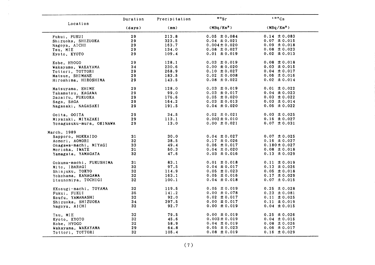|                          | Duration        | Precipitation | $\bullet \circ$ <sub>Sr</sub> | 137Cs                  |
|--------------------------|-----------------|---------------|-------------------------------|------------------------|
| Location                 | (days)          | (mm)          | $(MBq/Km^2)$                  | (MBq/Km <sup>2</sup> ) |
| Fukui, FUKUI             | 29              | 213.8         | $0.05 \pm 0.084$              | $0.14 \pm 0.083$       |
| Shizuoka, SHIZUOKA       | 29              | 323.5         | $0.04 \pm 0.021$              | $0.07 \pm 0.015$       |
| Nagoya, AICHI            | 29              | 163.7         | $0.004 \pm 0.020$             | $0.09 \pm 0.018$       |
| Tsu, MIE                 | 29              | 134.0         | $0.08 \pm 0.027$              | $0.08 \pm 0.023$       |
| Kyoto, KYOTO             | 29              | 109.4         | $0.01 \pm 0.019$              | $0.02 \pm 0.013$       |
| Kobe, HYOGO              | 29              | 128.1         | $0.03 \pm 0.019$              | $0.08 \pm 0.018$       |
| Wakayama, WAKAYAMA       | 34              | 230.6         | $0.00 \pm 0.020$              | $0.03 \pm 0.015$       |
| Tottori, TOTTORI         | 29              | 268.9         | $0.10 \pm 0.027$              | $0.04 \pm 0.017$       |
| Matsue, SHIMANE          | 29              | 183.5         | $0.02 \pm 0.008$              | $0.06 \pm 0.016$       |
| Hiroshima, HIROSHIMA     | 29              | 143.5         | $0.08 \pm 0.022$              | $0.02 \pm 0.014$       |
| Matsuyama, EHIME         | 29              | 128.0         | $0.03 \pm 0.019$              | $0.01 \pm 0.022$       |
| Takamatsu, KAGAWA        | 29              | 99.0          | $0.03 \pm 0.017$              | $0.04 \pm 0.023$       |
| Dazaifu, FUKUOKA         | 29              | 176.6         | $0.05 \pm 0.020$              | $0.03 \pm 0.022$       |
| Saga, SAGA               | 29              | 164.2         | $0.03 \pm 0.013$              | $0.03 \pm 0.014$       |
| Nagasaki, NAGASAKI       | 29              | 191.5         | $0.04 \pm 0.020$              | $0.05 \pm 0.022$       |
| Ooita, OOITA             | 29              | 34.5          | $0.02 \pm 0.021$              | $0.03 \pm 0.025$       |
| Miyazaki, MIYAZAKI       | 29              | 113.1         | $0.002 \pm 0.010$             | $0.16 \pm 0.027$       |
| Yonagusuku-mura, OKINAWA | 29              | 13.0          | $0.00 \pm 0.021$              | $0.07 \pm 0.031$       |
| March, 1989              |                 |               |                               |                        |
| Sapporo, HOKKAIDO        | 31              | 30.0          | $0.04 \pm 0.027$              | $0.07 \pm 0.025$       |
| Aomori, AOMORI           | 32 <sub>2</sub> | 38.5          | $0.17 \pm 0.026$              | $0.16 \pm 0.027$       |
| Onagawa-machi, MIYAGI    | 33              | 49.4          | $0.06 \pm 0.017$              | $0.180 \pm 0.027$      |
| Morioka, IWATE           | 31              | 50.3          | $0.04 \pm 0.020$              | $0.08 \pm 0.018$       |
| Yamagata, YAMAGATA       | 32              | 47.6          | $0.03 \pm 0.016$              | $0.13 \pm 0.029$       |
| Ookuma-machi, FUKUSHIMA  | 31              | 83.1          | $0.01 \pm 0.018$              | $0.11 \pm 0.019$       |
| Mito, IBARAGI            | 32              | 97.5          | $0.04 \pm 0.017$              | $0.13 \pm 0.026$       |
| Shinjuku, TOKYO          | 32              | 114.9         | $0.05 \pm 0.023$              | $0.05 \pm 0.018$       |
| Yokohama, KANAGAWA       | 32              | 163.1         | $0.05 \pm 0.016$              | $0.17 \pm 0.029$       |
| Utsunomiya, TOCHIGI      | 32              | 100.1         | $0.04 \pm 0.018$              | $0.07 \pm 0.015$       |
| KKosugi-machi, TOYAMA    | 32              | 119.5         | $0.05 \pm 0.019$              | $0.25 \pm 0.028$       |
| Fukui, FUKUI             | 35              | 141.2         | $0.00 \pm 0.078$              | $0.23 \pm 0.081$       |
| Koufu, YAMANASHI         | 32 <sub>2</sub> | 92.0          | $0.02 \pm 0.017$              | $0.11 \pm 0.025$       |
| Shizuoka, SHIZUOKA       | 34              | 397.5         | $0.00 \pm 0.017$              | $0.11 \pm 0.019$       |
| Nagoya, AICHI            | 32              | 92.7          | $0.00 \pm 0.019$              | $0.04 \pm 0.015$       |
| Tsu, MIE                 | 32              | 79.5          | $0.00 \pm 0.019$              | $0.25 \pm 0.026$       |
| Kyoto, KYOTO             | 32              | 45.6          | $0.003 \pm 0.019$             | $0.04 \pm 0.015$       |
| Kobe, HYOGO              | 32              | 58.9          | $0.04 \pm 0.019$              | $0.08 \pm 0.026$       |
| Wakayama, WAKAYAMA       | 29              | 64.8          | $0.05 \pm 0.023$              | $0.06 \pm 0.017$       |
| Tottori, TOTTORI         | 32              | 105.4         | $0.08 \pm 0.019$              | $0.16 \pm 0.029$       |

 $\sim 10^7$ 

 $(7)$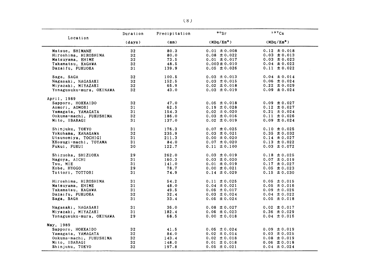|                          | Duration        | Precipitation | $\cdot$ $\cdot$        | 137Cs                  |
|--------------------------|-----------------|---------------|------------------------|------------------------|
| Location                 | (days)          | (mm)          | (MBq/Km <sup>2</sup> ) | (MBq/Km <sup>2</sup> ) |
| Matsue, SHIMANE          | 32              | 80.3          | $0.01 \pm 0.008$       | $0.12 \pm 0.018$       |
| Hiroshima, HIROSHIMA     | 32 <sub>1</sub> | 80.0          | $0.08 \pm 0.022$       | $0.03 \pm 0.013$       |
| Matsuyama, EHIME         | 32 <sub>2</sub> | 73.5          | $0.01 \pm 0.017$       | $0.03 \pm 0.023$       |
| Takamatsu, KAGAWA        | 32              | 48.5          | $0.003 \pm 0.010$      | $0.04 \pm 0.022$       |
| Dazaifu, FUKUOKA         | 31              | 139.9         | $0.05 \pm 0.026$       | $0.11 \pm 0.022$       |
| Saga, SAGA               | 32              | 100.5         | $0.03 \pm 0.013$       | $0.04 \pm 0.014$       |
| Nagasaki, NAGASAKI       | 32 <sub>2</sub> | 152.5         | $0.03 \pm 0.015$       | $0.06 \pm 0.024$       |
| Miyazaki, MIYAZAKI       | 32              | 65.9          | $0.02 \pm 0.018$       | $0.22 \pm 0.029$       |
| Yonagusuku-mura, OKINAWA | 32              | 43.0          | $0.03 \pm 0.019$       | $0.09 \pm 0.024$       |
| April, 1989              |                 |               |                        |                        |
| Sapporo, HOKKAIDO        | 32              | 47.0          | $0.05 \pm 0.018$       | $0.09 \pm 0.027$       |
| Aomori, AOMORI           | 31              | 62.5          | $0.19 \pm 0.028$       | $0.12 \pm 0.027$       |
| Yamagata, YAMAGATA       | 31              | 154.3         | $0.02 \pm 0.020$       | $0.21 \pm 0.024$       |
| Ookuma-machi, FUKUSHIMA  | 32 <sub>2</sub> | 186.0         | $0.03 \pm 0.016$       | $0.11 \pm 0.026$       |
| Mito, IBARAGI            | 31              | 137.0         | $0.02 \pm 0.019$       | $0.09 \pm 0.024$       |
| Shinjuku, TOKYO          | 31              | 176.3         | $0.07 \pm 0.025$       | $0.10 \pm 0.025$       |
| Yokohama, KANAGAWA       | 32              | 235.9         | $0.03 \pm 0.021$       | $0.35 \pm 0.032$       |
| Utsunomiya, TOCHIGI      | 31              | 211.3         | $0.00 \pm 0.020$       | $0.14 \pm 0.027$       |
| KKosugi-machi, TOYAMA    | 31              | 84.0          | $0.07 \pm 0.020$       | $0.13 \pm 0.022$       |
| Fukui, FUKUI             | 30              | 122.7         | $0.11 \pm 0.100$       | $0.03 \pm 0.072$       |
| Shizuoka, SHIZUOKA       | 29              | 262.0         | $0.03 \pm 0.019$       | $0.18 \pm 0.025$       |
| Nagoya, AICHI            | 31              | 160.3         | $0.03 \pm 0.020$       | $0.07 \pm 0.019$       |
| Tsu, MIE                 | 31              | 141.0         | $0.01 \pm 0.019$       | $0.17 \pm 0.027$       |
| Kobe, HYOGO              | 29              | 78.7          | $0.00 \pm 0.021$       | $0.05 \pm 0.023$       |
| Tottori, TOTTORI         | 31              | 74.9          | $0.14 \pm 0.029$       | $0.15 \pm 0.030$       |
| Hiroshima, HIROSHIMA     | 31              | 54.2          | $0.11 \pm 0.025$       | $0.05 \pm 0.015$       |
| Matsuyama, EHIME         | 31              | 48.0          | $0.04 \pm 0.021$       | $0.05 \pm 0.016$       |
| Takamatsu, KAGAWA        | 31              | 49.5          | $0.05 \pm 0.017$       | $0.09 \pm 0.025$       |
| Dazaifu, FUKUOKA         | 32              | 32.4          | $0.03 \pm 0.024$       | $0.04 \pm 0.022$       |
| Saga, SAGA               | 31              | 33.4          | $0.05 \pm 0.024$       | $0.05 \pm 0.018$       |
| Nagasaki, NAGASAKI       | 31              | 36.0          | $0.08 \pm 0.027$       | $0.02 \pm 0.017$       |
| Miyazaki, MIYAZAKI       | 31              | 182.4         | $0.06 \pm 0.023$       | $0.36 \pm 0.029$       |
| Yonagusuku-mura, OKINAWA | 29              | 68.5          | $0.00 \pm 0.018$       | $0.04 \pm 0.016$       |
| May, 1989                |                 |               |                        |                        |
| Sapporo, HOKKAIDO        | 32 <sub>2</sub> | 41.5          | $0.05 \pm 0.024$       | $0.09 \pm 0.019$       |
| Yamagata, YAMAGATA       | 32              | 84.0          | $0.02 \pm 0.014$       | $0.03 \pm 0.025$       |
| Ookuma-machi, FUKUSHIMA  | 32              | 143.4         | $0.02 \pm 0.018$       | $0.08 \pm 0.019$       |
| Mito, IBARAGI            | 32              | 148.0         | $0.01 \pm 0.018$       | $0.06 \pm 0.018$       |
| Shinjuku, TOKYO          | 32              | 197.8         | $0.05 \pm 0.021$       | $0.04 \pm 0.024$       |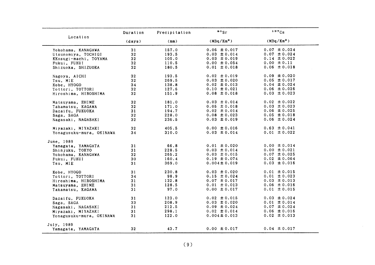|                          | Duration        | Precipitation | $\circ$ sr             | 137Cs                  |
|--------------------------|-----------------|---------------|------------------------|------------------------|
| Location                 | (days)          | (mm)          | (MBq/Km <sup>2</sup> ) | (MBq/Km <sup>2</sup> ) |
| Yokohama, KANAGAWA       | 31              | 157.0         | $0.06 \pm 0.017$       | $0.07 \pm 0.024$       |
| Utsunomiya, TOCHIGI      | 32 <sub>2</sub> | 193.5         | $0.03 \pm 0.014$       | $0.07 \pm 0.024$       |
| KKosugi-machi, TOYAMA    | 32              | 105.0         | $0.03 \pm 0.019$       | $0.14 \pm 0.022$       |
| Fukui, FUKUI             | 32              | 110.5         | $0.00 \pm 0.054$       | $0.00 \pm 0.11$        |
| Shizuoka, SHIZUOKA       | 32              | 180.5         | $0.01 \pm 0.018$       | $0.06 \pm 0.018$       |
| Nagoya, AICHI            | 32 <sub>2</sub> | 193.5         | $0.02 \pm 0.019$       | $0.09 \pm 0.020$       |
| Tsu, MIE                 | 32 <sub>2</sub> | 269.5         | $0.03 \pm 0.020$       | $0.05 \pm 0.017$       |
| Kobe, HYOGO              | 34              | 138.8         | $0.02 \pm 0.013$       | $0.04 \pm 0.024$       |
| Tottori, TOTTORI         | 32              | 127.6         | $0.10 \pm 0.021$       | $0.06 \pm 0.026$       |
| Hiroshima, HIROSHIMA     | 32              | 151.9         | $0.08 \pm 0.018$       | $0.03 \pm 0.023$       |
| Matsuyama, EHIME         | 32              | 181.0         | $0.03 \pm 0.014$       | $0.02 \pm 0.022$       |
| Takamatsu, KAGAWA        | 32 <sub>2</sub> | 171.0         | $0.05 \pm 0.018$       | $0.03 \pm 0.023$       |
| Dazaifu, FUKUOKA         | 31              | 194.7         | $0.02 \pm 0.014$       | $0.06 \pm 0.025$       |
| Saga, SAGA               | 32              | 228.0         | $0.08 \pm 0.023$       | $0.05 \pm 0.018$       |
| Nagasaki, NAGASAKI       | 32              | 236.5         | $0.03 \pm 0.019$       | $0.06 \pm 0.024$       |
| Miyazaki, MIYAZAKI       | 32              | 405.5         | $0.00 \pm 0.016$       | $0.63 \pm 0.041$       |
| Yonagusuku-mura, OKINAWA | 34              | 310.0         | $0.03 \pm 0.014$       | $0.01 \pm 0.022$       |
| June, 1989               |                 |               |                        |                        |
| Yamagata, YAMAGATA       | 31              | 66.8          | $0.01 \pm 0.020$       | $0.00 \pm 0.014$       |
| Shinjuku, TOKYO          | 31              | 228.5         | $0.03 \pm 0.014$       | $0.00 \pm 0.021$       |
| Yokohama, KANAGAWA       | 32              | 265.2         | $0.03 \pm 0.015$       | $0.07 \pm 0.025$       |
| Fukui, FUKUI             | 30              | 160.4         | $0.19 \pm 0.074$       | $0.02 \pm 0.064$       |
| Tsu, MIE                 | 31              | 369.0         | $0.004 \pm 0.019$      | $0.03 \pm 0.016$       |
| Kobe, HYOGO              | 31              | 230.8         | $0.03 \pm 0.020$       | $0.01 \pm 0.015$       |
| Tottori, TOTTORI         | 34              | 98.9          | $0.15 \pm 0.024$       | $0.01 \pm 0.023$       |
| Hiroshima, HIROSHIMA     | 31              | 132.8         | $0.07 \pm 0.017$       | $0.03 \pm 0.013$       |
| Matsuyama, EHIME         | 31              | 128.5         | $0.01 \pm 0.013$       | $0.06 \pm 0.016$       |
| Takamatsu, KAGAWA        | 31              | 97.0          | $0.00 \pm 0.017$       | $0.01 \pm 0.015$       |
| Dazaifu, FUKUOKA         | 31              | 123.0         | $0.02 \pm 0.015$       | $0.03 \pm 0.024$       |
| Saga, SAGA               | 33              | 208.9         | $0.03 \pm 0.020$       | $0.01 \pm 0.014$       |
| Nagasaki, NAGASAKI       | 31              | 212.5         | $0.09 \pm 0.024$       | $0.07 \pm 0.024$       |
| Miyazaki, MIYAZAKI       | 31              | 298.1         | $0.02 \pm 0.014$       | $0.06 \pm 0.016$       |
| Yonagusuku-mura, OKINAWA | 31              | 122.0         | $0.004 \pm 0.013$      | $0.02 \pm 0.013$       |
| July, 1989               |                 |               |                        |                        |
| Yamagata, YAMAGATA       | 32              | 43.7          | $0.00 \pm 0.017$       | $0.04 \pm 0.017$       |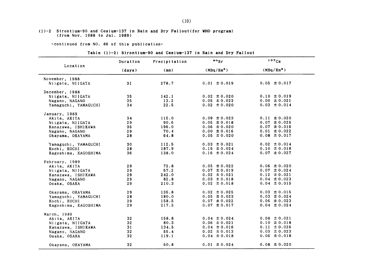#### $(1)-2$  Strontium-90 and Cesium-137 in Rain and Dry Fallout(for WHO program) (from Nov.1988 to Jul.1989)

-continued from NO. 86 of this publication-

 $\mathcal{L}$ 

#### Table (1)-2: Strontium-90 and Cesium-137 in Rain and Dry Fallout

|                      | Duration        | Precipitation | $\frac{80}{s}$         | 137Cs                  |
|----------------------|-----------------|---------------|------------------------|------------------------|
| Location             | (days)          | (mm)          | (MBq/Km <sup>2</sup> ) | (MBq/Km <sup>2</sup> ) |
| November, 1988       |                 |               |                        |                        |
| Niigata, NIIGATA     | 31              | 278.7         | $0.01 \pm 0.019$       | $0.05 \pm 0.017$       |
| December, 1988       |                 |               |                        |                        |
| Niigata, NIIGATA     | 35              | 142.1         | $0.02 \pm 0.020$       | $0.10 \pm 0.019$       |
| Nagano, NAGANO       | 35              | 13.2          | $0.05 \pm 0.023$       | $0.00 \pm 0.021$       |
| Yamaguchi, YAMAGUCHI | 34              | 22.5          | $0.02 \pm 0.020$       | $0.03 \pm 0.014$       |
| January, 1989        |                 |               |                        |                        |
| Akita, AKITA         | 34              | 115.0         | $0.09 \pm 0.023$       | $0.11 \pm 0.020$       |
| Niigata, NIIGATA     | 29              | 90.6          | $0.05 \pm 0.018$       | $0.07 \pm 0.025$       |
| Kanazawa, ISHIKAWA   | 35              | 196.0         | $0.06 \pm 0.020$       | $0.07 \pm 0.016$       |
| Nagano, NAGANO       | 29              | 70.4          | $0.00 \pm 0.016$       | $0.01 \pm 0.022$       |
| Okayama, OKAYAMA     | 28              | 64.8          | $0.05 \pm 0.020$       | $0.08 \pm 0.017$       |
| Yamaguchi, YAMAGUCHI | 30              | 112.5         | $0.03 \pm 0.021$       | $0.02 \pm 0.014$       |
| Kochi, KOCHI         | 28              | 187.9         | $0.15 \pm 0.024$       | $0.10 \pm 0.018$       |
| Kagoshima, KAGOSHIMA | 36              | 138.0         | $0.16 \pm 0.024$       | $0.07 \pm 0.027$       |
| February, 1989       |                 |               |                        |                        |
| Akita, AKITA         | 29              | 72.8          | $0.05 \pm 0.022$       | $0.06 \pm 0.020$       |
| Niigata, NIIGATA     | 29              | 67.2          | $0.07 \pm 0.019$       | $0.07 \pm 0.024$       |
| Kanazawa, ISHIKAWA   | 29              | 242.0         | $0.02 \pm 0.021$       | $0.12 \pm 0.021$       |
| Nagano, NAGANO       | 29              | 82.8          | $0.03 \pm 0.018$       | $0.04 \pm 0.023$       |
| Osaka, OSAKA         | 29              | 210.3         | $0.02 \pm 0.018$       | $0.04 \pm 0.015$       |
| Okayama, OKAYAMA     | 29              | 135.8         | $0.02 \pm 0.025$       | $0.03 \pm 0.016$       |
| Yamaguchi, YAMAGUCHI | 28              | 180.0         | $0.05 \pm 0.023$       | $0.03 \pm 0.024$       |
| Kochi, KOCHI         | 29              | 158.5         | $0.07 \pm 0.022$       | $0.06 \pm 0.023$       |
| Kagoshima, KAGOSHIMA | 29              | 217.5         | $0.07 \pm 0.017$       | $0.04 \pm 0.024$       |
| March, 1989          |                 |               |                        |                        |
| Akita, AKITA         | 32              | 158.8         | $0.04 \pm 0.024$       | $0.08 \pm 0.021$       |
| Niigata, NIIGATA     | 32              | 80.3          | $0.06 \pm 0.021$       | $0.10 \pm 0.018$       |
| Kanazawa, ISHIKAWA   | 31              | 134.5         | $0.04 \pm 0.016$       | $0.11 \pm 0.026$       |
| Nagano, NAGANO       | 32              | 55.4          | $0.02 \pm 0.013$       | $0.03 \pm 0.023$       |
| Osaka, OSAKA         | 32 <sub>2</sub> | 119.1         | $0.04 \pm 0.018$       | $0.06 \pm 0.018$       |
| Okayama, OKAYAMA     | 32              | 60.8          | $0.01 \pm 0.024$       | $0.08 \pm 0.020$       |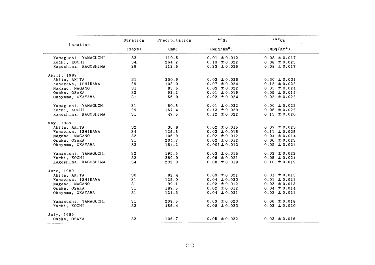|                      | Duration        | Precipitation | $\cdot \cdot$ sr       | 137Cs            |  |
|----------------------|-----------------|---------------|------------------------|------------------|--|
| Location             | (days)          | (mm)          | (MBq/Km <sup>2</sup> ) | $(MBq/Km^2)$     |  |
| Yamaguchi, YAMAGUCHI | 32              | 110.5         | $0.01 \pm 0.012$       | $0.08 \pm 0.017$ |  |
| Kochi, KOCHI         | 34              | 264.2         | $0.13 \pm 0.022$       | $0.08 \pm 0.025$ |  |
| Kagoshima, KAGOSHIMA | 29              | 112.5         | $0.23 \pm 0.025$       | $0.08 \pm 0.017$ |  |
| April, 1989          |                 |               |                        |                  |  |
| Akita, AKITA         | 31              | 200.9         | $0.03 \pm 0.026$       | $0.30 \pm 0.031$ |  |
| Kanazawa, ISHIKAWA   | 29              | 103.0         | $0.07 \pm 0.024$       | $0.12 \pm 0.022$ |  |
| Nagano, NAGANO       | 31              | 83.6          | $0.03 \pm 0.022$       | $0.05 \pm 0.024$ |  |
| Osaka, OSAKA         | 32 <sub>2</sub> | 92.2          | $0.01 \pm 0.019$       | $0.05 \pm 0.015$ |  |
| Okayama, OKAYAMA     | 31              | 56.0          | $0.02 \pm 0.024$       | $0.02 \pm 0.022$ |  |
| Yamaguchi, YAMAGUCHI | 31              | 60.5          | $0.01 \pm 0.022$       | $0.00 \pm 0.022$ |  |
| Kochi, KOCHI         | 29              | 167.4         | $0.13 \pm 0.029$       | $0.05 \pm 0.022$ |  |
| Kagoshima, KAGOSHIMA | 31              | 47.5          | $0.12 \pm 0.022$       | $0.13 \pm 0.020$ |  |
| May, 1989            |                 |               |                        |                  |  |
| Akita, AKITA         | 32              | 36.8          | $0.02 \pm 0.015$       | $0.07 \pm 0.025$ |  |
| Kanazawa, ISHIKAWA   | 34              | 126.5         | $0.03 \pm 0.015$       | $0.11 \pm 0.025$ |  |
| Nagano, NAGANO       | 32              | 106.9         | $0.02 \pm 0.012$       | $0.04 \pm 0.014$ |  |
| Osaka, OSAKA         | 31              | 204.7         | $0.02 \pm 0.012$       | $0.06 \pm 0.023$ |  |
| Okayama, OKAYAMA     | 32              | 184.2         | $0.001 \pm 0.012$      | $0.05 \pm 0.024$ |  |
| Yamaguchi, YAMAGUCHI | 32              | 195.5         | $0.03 \pm 0.015$       | $0.02 \pm 0.022$ |  |
| Kochi, KOCHI         | 32 <sub>2</sub> | 289.0         | $0.06 \pm 0.021$       | $0.05 \pm 0.024$ |  |
| Kagoshima, KAGOSHIMA | 34              | 292.0         | $0.08 \pm 0.019$       | $0.10 \pm 0.019$ |  |
| June, 1989           |                 |               |                        |                  |  |
| Akita, AKITA         | 30              | 82.4          | $0.03 \pm 0.021$       | $0.01 \pm 0.013$ |  |
| Kanazawa, ISHIKAWA   | 31              | 125.0         | $0.04 \pm 0.020$       | $0.01 \pm 0.021$ |  |
| Nagano, NAGANO       | 31              | 99.1          | $0.02 \pm 0.012$       | $0.02 \pm 0.013$ |  |
| Osaka, OSAKA         | 31              | 189.5         | $0.02 \pm 0.012$       | $0.04 \pm 0.014$ |  |
| Okayama, OKAYAMA     | 31              | 121.3         | $0.04 \pm 0.021$       | $0.03 \pm 0.021$ |  |
| Yamaguchi, YAMAGUCHI | 31              | 209.5         | $0.03 \pm 0.020$       | $0.06 \pm 0.018$ |  |
| Kochi, KOCHI         | 33              | 456.4         | $0.08 \pm 0.023$       | $0.02 \pm 0.020$ |  |
| July, 1989           |                 |               |                        |                  |  |
| Osaka, OSAKA         | 32              | 106.7         | $0.05 \pm 0.022$       | $0.03 \pm 0.016$ |  |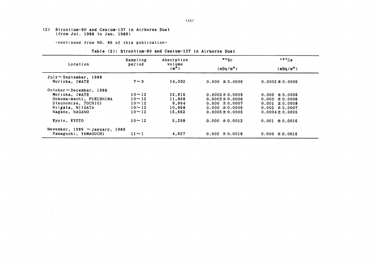(2) Strontium-90 and Cesium-137 in Airborne Dust (from Jul. 1988 to Jan. 1989)

 $\sim 10^{11}$ 

-continued from NO. 86 of this publication-

#### Table (2): Strontium-90 and Cesium-137 in Airborne Dust

|                                     | Sampling     | Absorption                  | $\frac{90}{5}$ r      | 137C <sub>S</sub>     |
|-------------------------------------|--------------|-----------------------------|-----------------------|-----------------------|
| Location                            | period       | volume<br>(m <sup>3</sup> ) | (mBq/m <sup>3</sup> ) | (mBq/m <sup>3</sup> ) |
| $July \sim September$ , 1988        |              |                             |                       |                       |
| Morioka, IWATE                      | $7 \sim 9$   | 14,032                      | $0.000 \pm 0.0005$    | $0.0002 \pm 0.0006$   |
| October ~ December 1988             |              |                             |                       |                       |
| Morioka, IWATE                      | $10 \sim 12$ | 12,915                      | $0.0003 \pm 0.0005$   | $0.000 \pm 0.0005$    |
| Ookuma-machi, FUKUSHIMA             | $10 \sim 12$ | 11,858                      | $0.0003 \pm 0.0006$   | $0.000 \pm 0.0006$    |
| Utsunomiya, TOCHIGI                 | $10 - 12$    | 9.954                       | $0.000 \pm 0.0007$    | $0.001 \pm 0.0008$    |
| Niigata, NIIGATA                    | $10 \sim 12$ | 10,968                      | $0.000 \pm 0.0005$    | $0.002 \pm 0.0007$    |
| Nagano, NAGANO                      | $10 - 12$    | 15.662                      | $0.0005 \pm 0.0005$   | $0.0004 \pm 0.0005$   |
| Kyoto, KYOTO                        | $10 - 12$    | 5,258                       | $0.000 \pm 0.0012$    | $0.001 \pm 0.0016$    |
| November, $1989 \sim$ January, 1989 |              |                             |                       |                       |
| Yamaguchi, YAMAGUCHI                | $11 \sim 1$  | 4.927                       | $0.002 \pm 0.0016$    | $0.000 \pm 0.0015$    |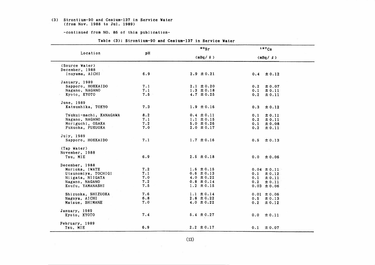#### (3) Strontium-90 and Cesium-137 in Service Water (from Nov. 1988 to Jul. 1989)

-continued from NO. 86 of this publication-

|                        |         | $\frac{1}{2}$  | 137Cg             |
|------------------------|---------|----------------|-------------------|
| Location               | pH      | $(mBq / \ell)$ | $(mBq / \ell)$    |
| (Source Water)         |         |                |                   |
| December, 1988         |         |                |                   |
| Inuyama, AICHI         | 6.9     | $2.9 \pm 0.21$ | $0.4 \pm 0.12$    |
| January, 1989          |         |                |                   |
| Sapporo, HOKKAIDO      | 7.1     | $2.1 \pm 0.20$ | 0.2<br>$\pm 0.07$ |
| Nagano, NAGANO         | 7.1     | $1.3 \pm 0.18$ | 0.1<br>± 0.11     |
| Kyoto, KYOTO           | $7.5 -$ | $4.7 \pm 0.25$ | 0.2<br>± 0.11     |
| June, 1989             |         |                |                   |
| Katsushika, TOKYO      | 7.3     | $1.9 \pm 0.16$ | 0.3<br>$\pm 0.12$ |
| Tsukui-machi, KANAGAWA | 8.2     | $0.4 \pm 0.11$ | 0.1<br>± 0.11     |
| Nagano, NAGANO         | 7.1     | $1.1 \pm 0.15$ | $0.2 \pm 0.11$    |
| Moriguchi, OSAKA       | 7.2     | $5.0 \pm 0.26$ | ± 0.08<br>0.1     |
| Fukuoka, FUKUOKA       | 7.0     | $2.0 \pm 0.17$ | ± 0.11<br>0.2     |
| July, 1989             |         |                |                   |
| Sapporo, HOKKAIDO      | 7.1     | $1.7 \pm 0.16$ | $0.5 \pm 0.13$    |
| (Tap Water)            |         |                |                   |
| November, 1988         |         |                |                   |
| Tsu, MIE               | 6.9     | $2.5 \pm 0.18$ | $0.0 \pm 0.06$    |
| December, 1988         |         |                |                   |
| Morioka, IWATE         | 7.2     | $1.6 \pm 0.15$ | $0.04 \pm 0.11$   |
| Utsunomiya, TOCHIGI    | 7.1     | $0.6 \pm 0.13$ | $0.1 \pm 0.12$    |
| Niigata, NIIGATA       | 7.0     | $4.0 \pm 0.22$ | 0.1<br>$\pm 0.11$ |
| Nagano, NAGANO         | 7.2     | $0.8 \pm 0.14$ | 0.2<br>$\pm 0.11$ |
| Koufu, YAMANASHI       | 7.5     | $1.2 \pm 0.15$ | $0.03 \pm 0.06$   |
| Shizuoka, SHIZUOKA     | 7.6     | $1.1 \pm 0.14$ | $0.01 \pm 0.06$   |
| Nagoya, AICHI          | 6.8     | $2.8 \pm 0.22$ | $0.5 \pm 0.13$    |
| Matsue, SHIMANE        | 7.0     | $4.0 \pm 0.22$ | $0.2 \pm 0.12$    |
| January, 1989          |         |                |                   |
| Kyoto, KYOTO           | 7.4     | $5.4 \pm 0.27$ | $0.0 \pm 0.11$    |
| February, 1989         |         |                |                   |
| Tsu, MIE               | 6.9     | $2.2 \pm 0.17$ | $0.1 \pm 0.07$    |

Table (3): Strontium-90 and Cesium-137 in Service Water

 $(13)$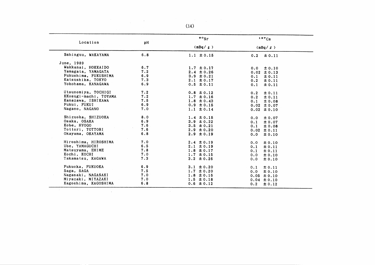|                       |     | (14)             |                   |
|-----------------------|-----|------------------|-------------------|
| Location              | pH  | $\cdot \cdot$ sr | 137Cs             |
|                       |     | (mBq / q)        | (mBq / g)         |
| Sshinguu, WAKAYAMA    | 6.8 | $1.1 \pm 0.15$   | 0.2<br>± 0.11     |
| June, 1989            |     |                  |                   |
| Wakkanai, HOKKAIDO    | 6.7 | $1.7 \pm 0.17$   | $\pm 0.10$<br>0.0 |
| Yamagata, YAMAGATA    | 7.2 | $2.4 \pm 0.26$   | $0.02 \pm 0.13$   |
| Fukushima, FUKUSHIMA  | 6.9 | $3.9 \pm 0.21$   | 0.1<br>± 0.11     |
| Katsushika, TOKYO     | 7.3 | $2.1 \pm 0.17$   | 0.2<br>± 0.11     |
| Yokohama, KANAGAWA    | 6.9 | $0.5 \pm 0.11$   | 0.1<br>± 0.11     |
| Utsunomiya, TOCHIGI   | 7.2 | $0.8 \pm 0.12$   | ± 0.11<br>0.2     |
| KKosugi-machi, TOYAMA | 7.2 | $1.7 \pm 0.16$   | 0.2<br>$\pm 0.11$ |
| Kanazawa, ISHIKAWA    | 7.5 | $1.8 \pm 0.43$   | ± 0.08<br>0.1     |
| Fukui, FUKUI          | 6.9 | $0.9 \pm 0.15$   | $0.02 \pm 0.07$   |
| Nagano, NAGANO        | 7.0 | $1.1 \pm 0.14$   | $0.02 \pm 0.10$   |
| Shizuoka, SHIZUOKA    | 8.0 | $1.4 \pm 0.15$   | 0.0<br>± 0.07     |
| Osaka, OSAKA          | 6.9 | $3.9 \pm 0.22$   | 0.1<br>± 0.07     |
| Kobe, HYOGO           | 7.6 | $3.5 \pm 0.21$   | 0.1<br>± 0.08     |
| Tottori, TOTTORI      | 7.6 | $2.9 \pm 0.20$   | $0.02 \pm 0.11$   |
| Okayama, OKAYAMA      | 6.8 | $2.9 \pm 0.19$   | 0.0<br>± 0.10     |
| Hiroshima, HIROSHIMA  | 7.0 | $2.4 \pm 0.19$   | 0.0<br>± 0.10     |
| Ube, YAMAGUCHI        | 6.5 | $2.1 \pm 0.19$   | ± 0.11<br>0.1     |
| Matsuyama, EHIME      | 7.8 | $1.8 \pm 0.17$   | 0.1<br>± 0.11     |
| Kochi, KOCHI          | 7.0 | $1.7 \pm 0.15$   | 0.0<br>$\pm 0.10$ |
| Takamatsu, KAGAWA     | 7.3 | $3.2 \pm 0.26$   | 0.0<br>± 0.10     |
| Fukuoka, FUKUOKA      | 6.9 | $3.1 \pm 0.20$   | 0.1<br>± 0.11     |
| Saga, SAGA            | 7.5 | $1.7 \pm 0.20$   | 0.0<br>± 0.10     |
| Nagasaki, NAGASAKI    | 7.0 | $1.8 \pm 0.16$   | $0.05 \pm 0.10$   |
| Miyazaki, MIYAZAKI    | 7.0 | $1.5 \pm 0.18$   | $0.04 \pm 0.10$   |
| Kagoshima, KAGOSHIMA  | 6.8 | $0.6 \pm 0.12$   | $0.2 -$<br>± 0.12 |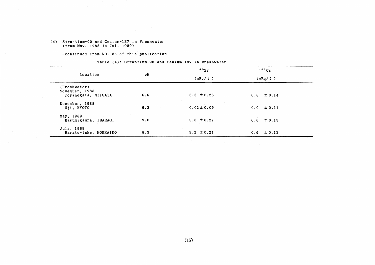#### (4) Strontium-90 and Cesium-137 in Freshwater (from Nov. 1988 to Jul. 1989)

-continued from NO. 86 of this publication-

| Location                                              | рH  | $\cdot$ $\cdot$ | 137C <sub>S</sub> |  |
|-------------------------------------------------------|-----|-----------------|-------------------|--|
|                                                       |     | (mBq/g)         | $(mBq / \ell)$    |  |
| (Freshwater)<br>November, 1988<br>Toyanogata, NIIGATA | 6.6 | $5.3 \pm 0.25$  | $0.8 \pm 0.14$    |  |
| December, 1988<br>Uji, KYOTO                          | 6.3 | $0.02 \pm 0.09$ | $0.0 \pm 0.11$    |  |
| May, 1989<br>Kasumigaura, IBARAGI                     | 9.0 | $3.6 \pm 0.22$  | $0.6 \pm 0.13$    |  |
| July, 1989<br>Barato-lake, HOKKAIDO                   | 8.3 | $3.2 \pm 0.21$  | $0.6 \pm 0.13$    |  |

 $\sim 100$  km s  $^{-1}$ 

#### Table (4): Strontium-90 and Cesium-137 in Freshwater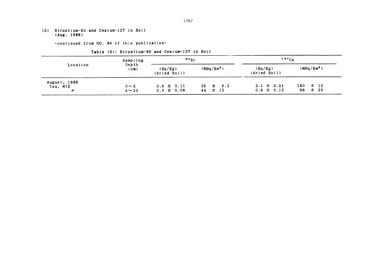(5) Strontium-90 and Cesium-137 in Soil  $(Aug. 1988)$ 

 $\mathcal{L}^{\mathcal{L}}(\mathcal{L}^{\mathcal{L}}(\mathcal{L}^{\mathcal{L}}(\mathcal{L}^{\mathcal{L}}(\mathcal{L}^{\mathcal{L}}(\mathcal{L}^{\mathcal{L}}(\mathcal{L}^{\mathcal{L}}(\mathcal{L}^{\mathcal{L}}(\mathcal{L}^{\mathcal{L}}(\mathcal{L}^{\mathcal{L}}(\mathcal{L}^{\mathcal{L}}(\mathcal{L}^{\mathcal{L}}(\mathcal{L}^{\mathcal{L}}(\mathcal{L}^{\mathcal{L}}(\mathcal{L}^{\mathcal{L}}(\mathcal{L}^{\mathcal{L}}(\mathcal{L}^{\mathcal{L$ 

-continued from NO. 86 of this publication-

| Table (5): Strontium-90 and Cesium-137 in Soil |  |  |  |  |
|------------------------------------------------|--|--|--|--|
|------------------------------------------------|--|--|--|--|

| Sampling                      |                            | $\cdot \cdot$ sr                 |                                | $137C_S$                         |                                   |
|-------------------------------|----------------------------|----------------------------------|--------------------------------|----------------------------------|-----------------------------------|
| Location                      | Depth<br>(c <sub>m</sub> ) | (Bq/Kg)<br>(dried Soil)          | (MBq/Km <sup>2</sup> )         | (Bq/Kg)<br>(dried Soil)          | (MBq/Km <sup>2</sup> )            |
| August, 1988<br>Tsu, MIE<br>" | $0 \sim 5$<br>$5 \sim 20$  | $0.6 \pm 0.11$<br>$0.3 \pm 0.08$ | $36 \pm 6.2$<br>$\pm$ 13<br>44 | $3.1 \pm 0.21$<br>$0.6 \pm 0.13$ | $\pm$ 12<br>180<br>$\pm$ 20<br>88 |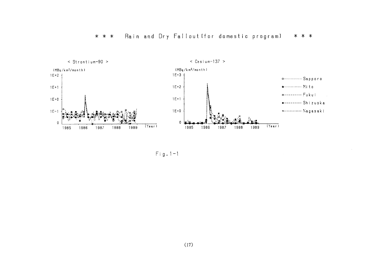

Fig.  $1-1$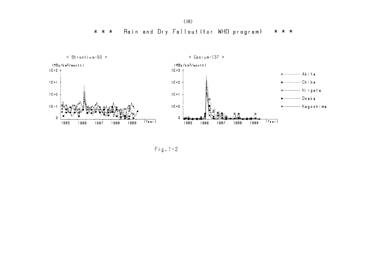Rain and Dry Fallout (for WHO program) \* \* \* \* \* \*



 $Fig. 1-2$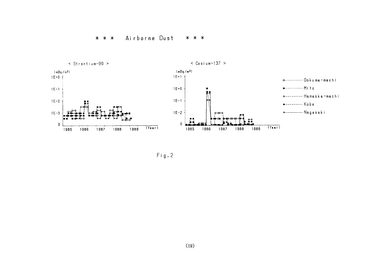

 $Fig. 2$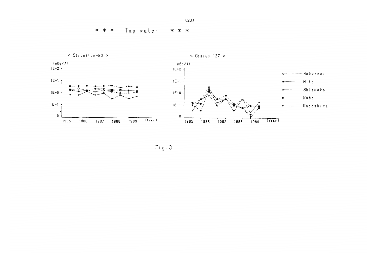Tap water \* \* \* \* \* \*



 $Fig. 3$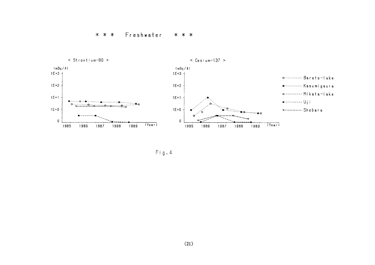#### \* \* \* Freshwater \* \* \*



 $Fig. 4$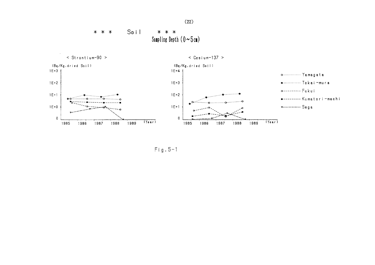Soil  $* * *$ \* \* \* Sampling Depth  $(0 \sim 5 \text{ cm})$ 



 $Fig. 5-1$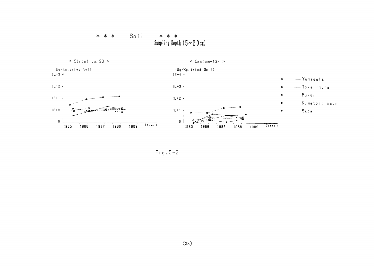#### Soil \* \* \*  $* * *$ Sampling Depth  $(5 \sim 20 \text{ cm})$



 $Fig. 5-2$